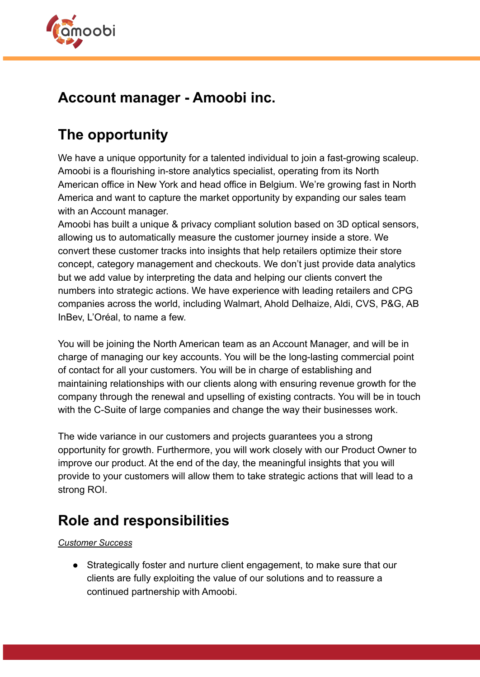

### **Account manager - Amoobi inc.**

# **The opportunity**

We have a unique opportunity for a talented individual to join a fast-growing scaleup. Amoobi is a flourishing in-store analytics specialist, operating from its North American office in New York and head office in Belgium. We're growing fast in North America and want to capture the market opportunity by expanding our sales team with an Account manager.

Amoobi has built a unique & privacy compliant solution based on 3D optical sensors, allowing us to automatically measure the customer journey inside a store. We convert these customer tracks into insights that help retailers optimize their store concept, category management and checkouts. We don't just provide data analytics but we add value by interpreting the data and helping our clients convert the numbers into strategic actions. We have experience with leading retailers and CPG companies across the world, including Walmart, Ahold Delhaize, Aldi, CVS, P&G, AB InBev, L'Oréal, to name a few.

You will be joining the North American team as an Account Manager, and will be in charge of managing our key accounts. You will be the long-lasting commercial point of contact for all your customers. You will be in charge of establishing and maintaining relationships with our clients along with ensuring revenue growth for the company through the renewal and upselling of existing contracts. You will be in touch with the C-Suite of large companies and change the way their businesses work.

The wide variance in our customers and projects guarantees you a strong opportunity for growth. Furthermore, you will work closely with our Product Owner to improve our product. At the end of the day, the meaningful insights that you will provide to your customers will allow them to take strategic actions that will lead to a strong ROI.

# **Role and responsibilities**

### *Customer Success*

● Strategically foster and nurture client engagement, to make sure that our clients are fully exploiting the value of our solutions and to reassure a continued partnership with Amoobi.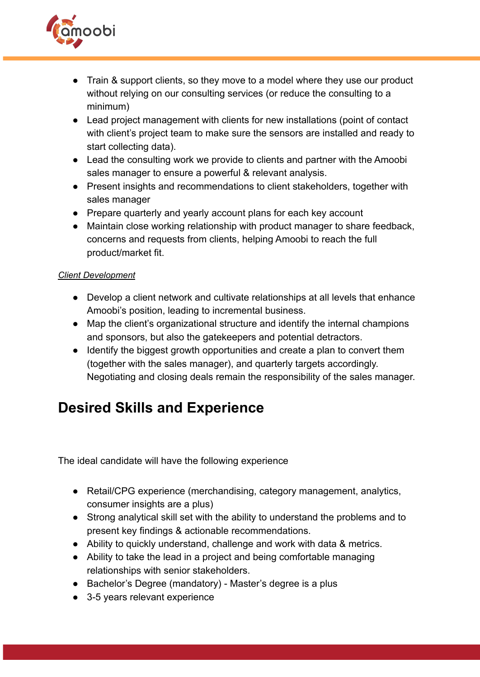

- Train & support clients, so they move to a model where they use our product without relying on our consulting services (or reduce the consulting to a minimum)
- Lead project management with clients for new installations (point of contact with client's project team to make sure the sensors are installed and ready to start collecting data).
- Lead the consulting work we provide to clients and partner with the Amoobi sales manager to ensure a powerful & relevant analysis.
- Present insights and recommendations to client stakeholders, together with sales manager
- Prepare quarterly and yearly account plans for each key account
- Maintain close working relationship with product manager to share feedback, concerns and requests from clients, helping Amoobi to reach the full product/market fit.

#### *Client Development*

- Develop a client network and cultivate relationships at all levels that enhance Amoobi's position, leading to incremental business.
- Map the client's organizational structure and identify the internal champions and sponsors, but also the gatekeepers and potential detractors.
- Identify the biggest growth opportunities and create a plan to convert them (together with the sales manager), and quarterly targets accordingly. Negotiating and closing deals remain the responsibility of the sales manager.

# **Desired Skills and Experience**

The ideal candidate will have the following experience

- Retail/CPG experience (merchandising, category management, analytics, consumer insights are a plus)
- Strong analytical skill set with the ability to understand the problems and to present key findings & actionable recommendations.
- Ability to quickly understand, challenge and work with data & metrics.
- Ability to take the lead in a project and being comfortable managing relationships with senior stakeholders.
- Bachelor's Degree (mandatory) Master's degree is a plus
- 3-5 years relevant experience